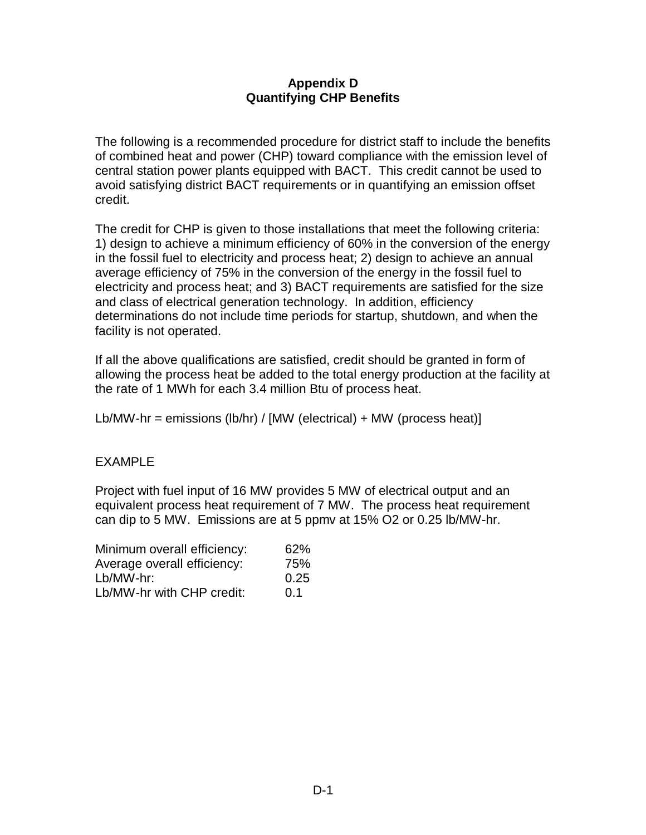## **Appendix D Quantifying CHP Benefits**

The following is a recommended procedure for district staff to include the benefits of combined heat and power (CHP) toward compliance with the emission level of central station power plants equipped with BACT. This credit cannot be used to avoid satisfying district BACT requirements or in quantifying an emission offset credit.

The credit for CHP is given to those installations that meet the following criteria: 1) design to achieve a minimum efficiency of 60% in the conversion of the energy in the fossil fuel to electricity and process heat; 2) design to achieve an annual average efficiency of 75% in the conversion of the energy in the fossil fuel to electricity and process heat; and 3) BACT requirements are satisfied for the size and class of electrical generation technology. In addition, efficiency determinations do not include time periods for startup, shutdown, and when the facility is not operated.

If all the above qualifications are satisfied, credit should be granted in form of allowing the process heat be added to the total energy production at the facility at the rate of 1 MWh for each 3.4 million Btu of process heat.

Lb/MW-hr = emissions (lb/hr) / [MW (electrical) + MW (process heat)]

## EXAMPLE

Project with fuel input of 16 MW provides 5 MW of electrical output and an equivalent process heat requirement of 7 MW. The process heat requirement can dip to 5 MW. Emissions are at 5 ppmv at 15% O2 or 0.25 lb/MW-hr.

| Minimum overall efficiency: | 62%  |
|-----------------------------|------|
| Average overall efficiency: | 75%  |
| Lb/MW-hr:                   | 0.25 |
| Lb/MW-hr with CHP credit:   | 0.1  |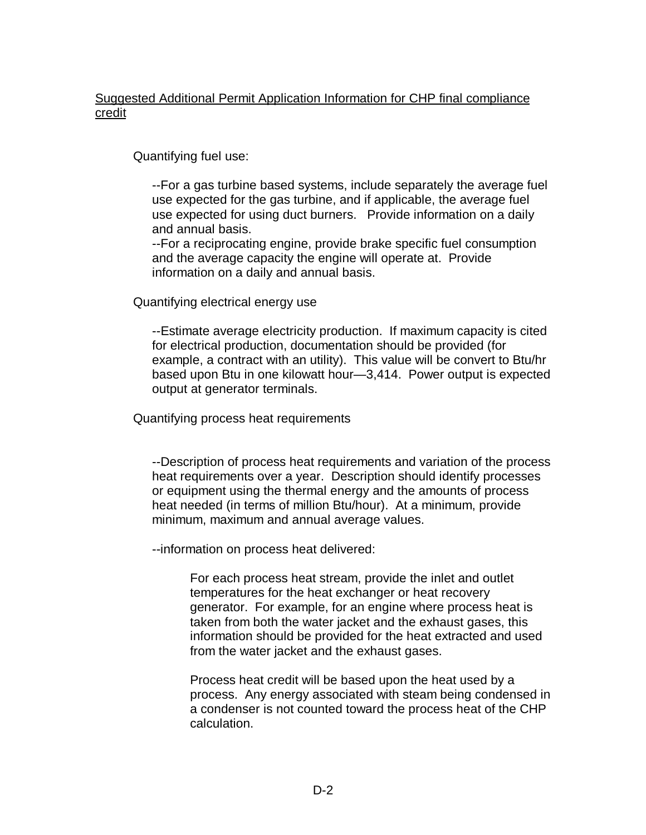# Suggested Additional Permit Application Information for CHP final compliance credit

Quantifying fuel use:

--For a gas turbine based systems, include separately the average fuel use expected for the gas turbine, and if applicable, the average fuel use expected for using duct burners. Provide information on a daily and annual basis.

--For a reciprocating engine, provide brake specific fuel consumption and the average capacity the engine will operate at. Provide information on a daily and annual basis.

Quantifying electrical energy use

--Estimate average electricity production. If maximum capacity is cited for electrical production, documentation should be provided (for example, a contract with an utility). This value will be convert to Btu/hr based upon Btu in one kilowatt hour— 3,414. Power output is expected output at generator terminals.

Quantifying process heat requirements

--Description of process heat requirements and variation of the process heat requirements over a year. Description should identify processes or equipment using the thermal energy and the amounts of process heat needed (in terms of million Btu/hour). At a minimum, provide minimum, maximum and annual average values.

--information on process heat delivered:

For each process heat stream, provide the inlet and outlet temperatures for the heat exchanger or heat recovery generator. For example, for an engine where process heat is taken from both the water jacket and the exhaust gases, this information should be provided for the heat extracted and used from the water jacket and the exhaust gases.

Process heat credit will be based upon the heat used by a process. Any energy associated with steam being condensed in a condenser is not counted toward the process heat of the CHP calculation.